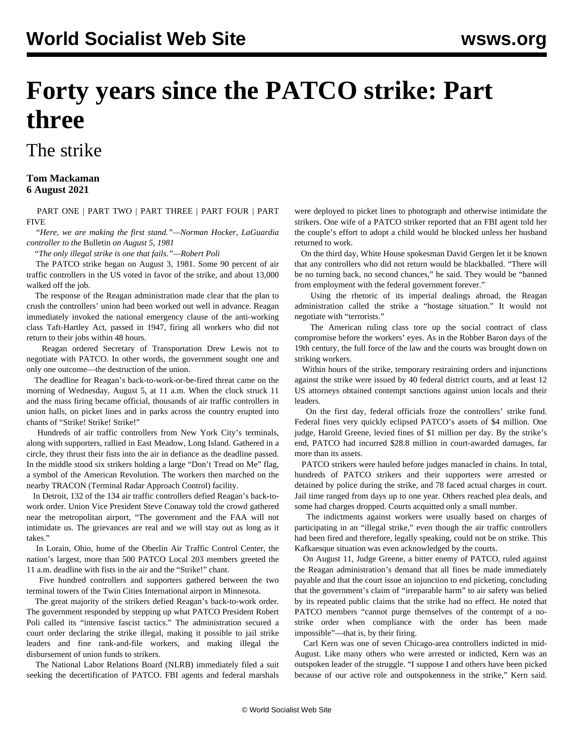# **Forty years since the PATCO strike: Part three**

## The strike

#### **Tom Mackaman 6 August 2021**

 [PART ONE](/en/articles/2021/08/03/patc-a03.html) | [PART TWO](/en/articles/2021/08/04/pat2-a04.html) | [PART THREE](/en/articles/2021/08/07/patc-a07.html) | [PART FOUR](/en/articles/2021/08/09/patc-a09.html) | [PART](/en/articles/2021/08/12/patc-a12.html) [FIVE](/en/articles/2021/08/12/patc-a12.html)

 "*Here, we are making the first stand."—Norman Hocker, LaGuardia controller to the* Bulletin *on August 5, 1981*

"*The only illegal strike is one that fails."—Robert Poli*

 The PATCO strike began on August 3, 1981. Some 90 percent of air traffic controllers in the US voted in favor of the strike, and about 13,000 walked off the job.

 The response of the Reagan administration made clear that the plan to crush the controllers' union had been worked out well in advance. Reagan immediately invoked the national emergency clause of the anti-working class Taft-Hartley Act, passed in 1947, firing all workers who did not return to their jobs within 48 hours.

 Reagan ordered Secretary of Transportation Drew Lewis not to negotiate with PATCO. In other words, the government sought one and only one outcome—the destruction of the union.

 The deadline for Reagan's back-to-work-or-be-fired threat came on the morning of Wednesday, August 5, at 11 a.m. When the clock struck 11 and the mass firing became official, thousands of air traffic controllers in union halls, on picket lines and in parks across the country erupted into chants of "Strike! Strike! Strike!"

 Hundreds of air traffic controllers from New York City's terminals, along with supporters, rallied in East Meadow, Long Island. Gathered in a circle, they thrust their fists into the air in defiance as the deadline passed. In the middle stood six strikers holding a large "Don't Tread on Me" flag, a symbol of the American Revolution. The workers then marched on the nearby TRACON (Terminal Radar Approach Control) facility.

 In Detroit, 132 of the 134 air traffic controllers defied Reagan's back-towork order. Union Vice President Steve Conaway told the crowd gathered near the metropolitan airport, "The government and the FAA will not intimidate us. The grievances are real and we will stay out as long as it takes."

 In Lorain, Ohio, home of the Oberlin Air Traffic Control Center, the nation's largest, more than 500 PATCO Local 203 members greeted the 11 a.m. deadline with fists in the air and the "Strike!" chant.

 Five hundred controllers and supporters gathered between the two terminal towers of the Twin Cities International airport in Minnesota.

 The great majority of the strikers defied Reagan's back-to-work order. The government responded by stepping up what PATCO President Robert Poli called its "intensive fascist tactics." The administration secured a court order declaring the strike illegal, making it possible to jail strike leaders and fine rank-and-file workers, and making illegal the disbursement of union funds to strikers.

 The National Labor Relations Board (NLRB) immediately filed a suit seeking the decertification of PATCO. FBI agents and federal marshals

were deployed to picket lines to photograph and otherwise intimidate the strikers. One wife of a PATCO striker reported that an FBI agent told her the couple's effort to adopt a child would be blocked unless her husband returned to work.

 On the third day, White House spokesman David Gergen let it be known that any controllers who did not return would be blackballed. "There will be no turning back, no second chances," he said. They would be "banned from employment with the federal government forever."

 Using the rhetoric of its imperial dealings abroad, the Reagan administration called the strike a "hostage situation." It would not negotiate with "terrorists."

 The American ruling class tore up the social contract of class compromise before the workers' eyes. As in the Robber Baron days of the 19th century, the full force of the law and the courts was brought down on striking workers.

 Within hours of the strike, temporary restraining orders and injunctions against the strike were issued by 40 federal district courts, and at least 12 US attorneys obtained contempt sanctions against union locals and their leaders.

 On the first day, federal officials froze the controllers' strike fund. Federal fines very quickly eclipsed PATCO's assets of \$4 million. One judge, Harold Greene, levied fines of \$1 million per day. By the strike's end, PATCO had incurred \$28.8 million in court-awarded damages, far more than its assets.

 PATCO strikers were hauled before judges manacled in chains. In total, hundreds of PATCO strikers and their supporters were arrested or detained by police during the strike, and 78 faced actual charges in court. Jail time ranged from days up to one year. Others reached plea deals, and some had charges dropped. Courts acquitted only a small number.

 The indictments against workers were usually based on charges of participating in an "illegal strike," even though the air traffic controllers had been fired and therefore, legally speaking, could not be on strike. This Kafkaesque situation was even acknowledged by the courts.

 On August 11, Judge Greene, a bitter enemy of PATCO, ruled against the Reagan administration's demand that all fines be made immediately payable and that the court issue an injunction to end picketing, concluding that the government's claim of "irreparable harm" to air safety was belied by its repeated public claims that the strike had no effect. He noted that PATCO members "cannot purge themselves of the contempt of a nostrike order when compliance with the order has been made impossible"—that is, by their firing.

 Carl Kern was one of seven Chicago-area controllers indicted in mid-August. Like many others who were arrested or indicted, Kern was an outspoken leader of the struggle. "I suppose I and others have been picked because of our active role and outspokenness in the strike," Kern said.